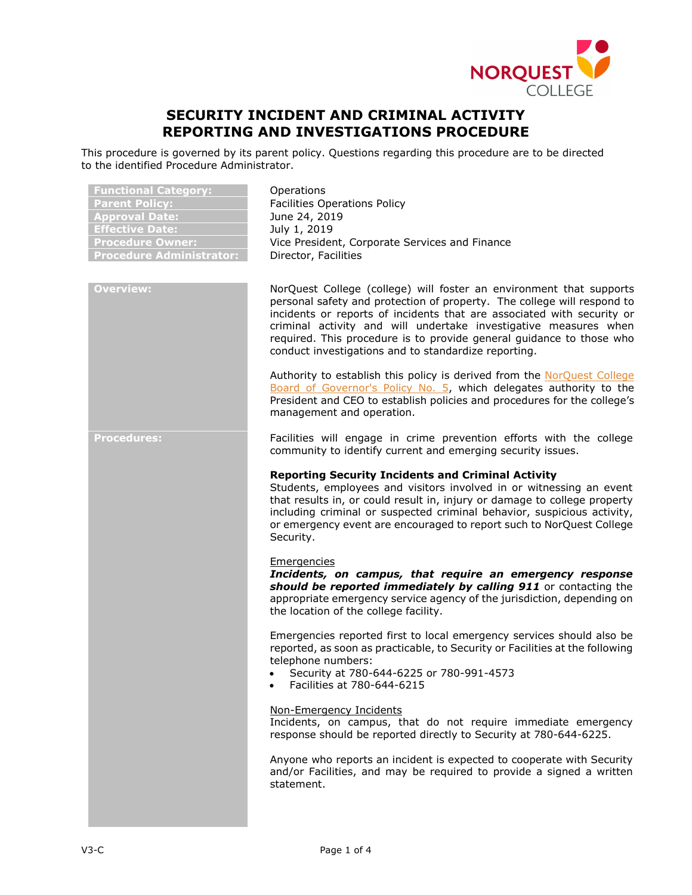

# **SECURITY INCIDENT AND CRIMINAL ACTIVITY REPORTING AND INVESTIGATIONS PROCEDURE**

This procedure is governed by its parent policy. Questions regarding this procedure are to be directed to the identified Procedure Administrator.

| <b>Functional Category:</b><br><b>Parent Policy:</b><br><b>Approval Date:</b><br><b>Effective Date:</b><br><b>Procedure Owner:</b><br><b>Procedure Administrator:</b> | Operations<br><b>Facilities Operations Policy</b><br>June 24, 2019<br>July 1, 2019<br>Vice President, Corporate Services and Finance<br>Director, Facilities                                                                                                                                                                                                                                                                 |
|-----------------------------------------------------------------------------------------------------------------------------------------------------------------------|------------------------------------------------------------------------------------------------------------------------------------------------------------------------------------------------------------------------------------------------------------------------------------------------------------------------------------------------------------------------------------------------------------------------------|
| <b>Overview:</b>                                                                                                                                                      | NorQuest College (college) will foster an environment that supports<br>personal safety and protection of property. The college will respond to<br>incidents or reports of incidents that are associated with security or<br>criminal activity and will undertake investigative measures when<br>required. This procedure is to provide general guidance to those who<br>conduct investigations and to standardize reporting. |
|                                                                                                                                                                       | Authority to establish this policy is derived from the NorQuest College<br>Board of Governor's Policy No. 5, which delegates authority to the<br>President and CEO to establish policies and procedures for the college's<br>management and operation.                                                                                                                                                                       |
| <b>Procedures:</b>                                                                                                                                                    | Facilities will engage in crime prevention efforts with the college<br>community to identify current and emerging security issues.                                                                                                                                                                                                                                                                                           |
|                                                                                                                                                                       | <b>Reporting Security Incidents and Criminal Activity</b><br>Students, employees and visitors involved in or witnessing an event<br>that results in, or could result in, injury or damage to college property<br>including criminal or suspected criminal behavior, suspicious activity,<br>or emergency event are encouraged to report such to NorQuest College<br>Security.                                                |
|                                                                                                                                                                       | Emergencies<br>Incidents, on campus, that require an emergency response<br>should be reported immediately by calling 911 or contacting the<br>appropriate emergency service agency of the jurisdiction, depending on<br>the location of the college facility.                                                                                                                                                                |
|                                                                                                                                                                       | Emergencies reported first to local emergency services should also be<br>reported, as soon as practicable, to Security or Facilities at the following<br>telephone numbers:<br>Security at 780-644-6225 or 780-991-4573<br>$\bullet$<br>• Facilities at 780-644-6215                                                                                                                                                         |
|                                                                                                                                                                       | Non-Emergency Incidents<br>Incidents, on campus, that do not require immediate emergency<br>response should be reported directly to Security at 780-644-6225.                                                                                                                                                                                                                                                                |
|                                                                                                                                                                       | Anyone who reports an incident is expected to cooperate with Security<br>and/or Facilities, and may be required to provide a signed a written<br>statement.                                                                                                                                                                                                                                                                  |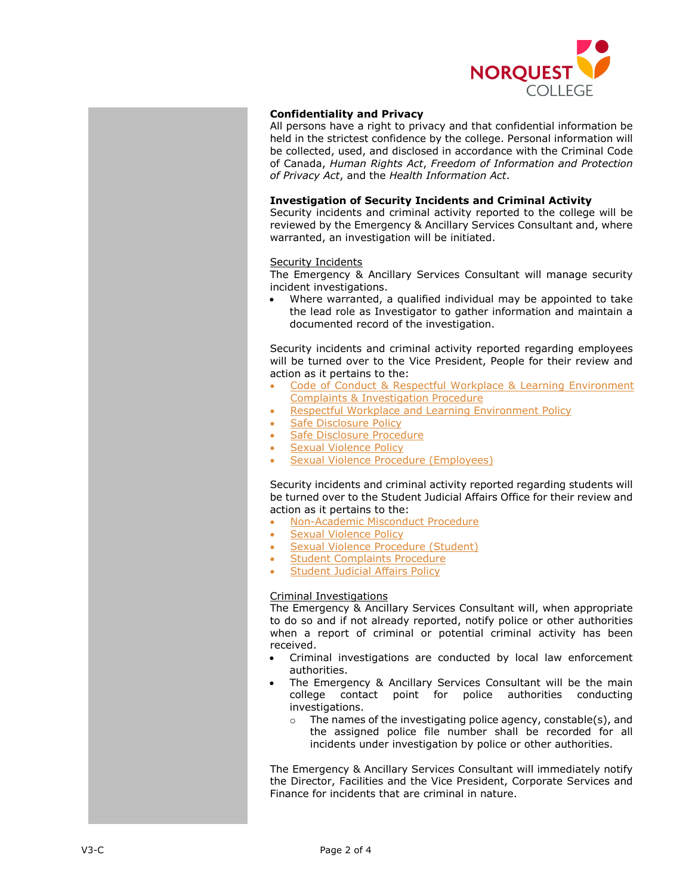

## **Confidentiality and Privacy**

All persons have a right to privacy and that confidential information be held in the strictest confidence by the college. Personal information will be collected, used, and disclosed in accordance with the Criminal Code of Canada, *Human Rights Act*, *Freedom of Information and Protection of Privacy Act*, and the *Health Information Act*.

### **Investigation of Security Incidents and Criminal Activity**

Security incidents and criminal activity reported to the college will be reviewed by the Emergency & Ancillary Services Consultant and, where warranted, an investigation will be initiated.

### **Security Incidents**

The Emergency & Ancillary Services Consultant will manage security incident investigations.

• Where warranted, a qualified individual may be appointed to take the lead role as Investigator to gather information and maintain a documented record of the investigation.

Security incidents and criminal activity reported regarding employees will be turned over to the Vice President, People for their review and action as it pertains to the:

- Code of Conduct & Respectful Workplace & Learning Environment [Complaints & Investigation Procedure](https://www.norquest.ca/about-us/policies-procedures/human-resources/code-of-conduct-policy/code-of-conduct-respectful-workplace-learning.aspx)
- [Respectful Workplace and Learning Environment Policy](https://www.norquest.ca/about-us/policies-procedures/human-resources/respectful-workplace-and-learning-environment-policy.aspx)
- [Safe Disclosure Policy](https://www.norquest.ca/about-us/policies-procedures/human-resources/safe-disclosure-policy.aspx)
- [Safe Disclosure Procedure](https://www.norquest.ca/about-us/policies-procedures/human-resources/safe-disclosure-policy/safe-disclosure-procedure.aspx)
- **[Sexual Violence Policy](https://www.norquest.ca/about-us/policies-procedures/operations/sexual-violence-policy.aspx)**
- [Sexual Violence Procedure \(Employees\)](https://www.norquest.ca/about-us/policies-procedures/operations/sexual-violence-policy/sexual-violence-procedure-employees.aspx)

Security incidents and criminal activity reported regarding students will be turned over to the Student Judicial Affairs Office for their review and action as it pertains to the:

- [Non-Academic Misconduct Procedure](https://www.norquest.ca/about-us/policies-procedures/academic/student-judicial-affairs-policy/non-academic-misconduct-procedure.aspx)
- [Sexual Violence Policy](https://www.norquest.ca/about-us/policies-procedures/operations/sexual-violence-policy.aspx)
- **[Sexual Violence Procedure \(Student\)](https://www.norquest.ca/about-us/policies-procedures/operations/sexual-violence-policy/sexual-violence-procedure-student.aspx)**
- **[Student Complaints Procedure](https://www.norquest.ca/about-us/policies-procedures/academic/student-judicial-affairs-policy/student-complaints-procedure.aspx)**
- **[Student Judicial Affairs Policy](https://www.norquest.ca/about-us/policies-procedures/academic/student-judicial-affairs-policy.aspx)**

#### Criminal Investigations

The Emergency & Ancillary Services Consultant will, when appropriate to do so and if not already reported, notify police or other authorities when a report of criminal or potential criminal activity has been received.

- Criminal investigations are conducted by local law enforcement authorities.
- The Emergency & Ancillary Services Consultant will be the main college contact point for police authorities conducting investigations.
	- o The names of the investigating police agency, constable(s), and the assigned police file number shall be recorded for all incidents under investigation by police or other authorities.

The Emergency & Ancillary Services Consultant will immediately notify the Director, Facilities and the Vice President, Corporate Services and Finance for incidents that are criminal in nature.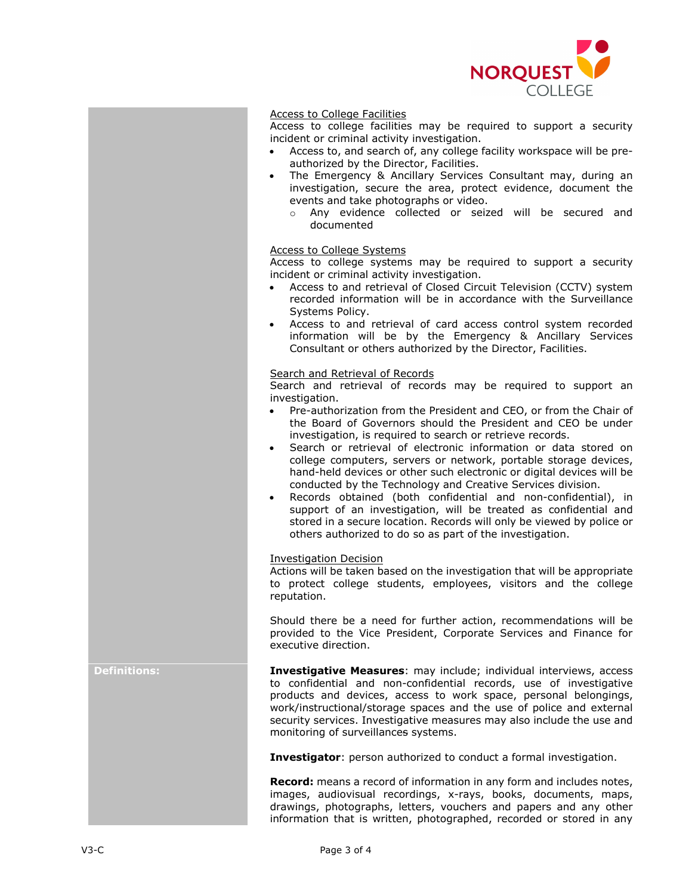

#### Access to College Facilities

Access to college facilities may be required to support a security incident or criminal activity investigation.

- Access to, and search of, any college facility workspace will be preauthorized by the Director, Facilities.
- The Emergency & Ancillary Services Consultant may, during an investigation, secure the area, protect evidence, document the events and take photographs or video.
	- o Any evidence collected or seized will be secured and documented

#### Access to College Systems

Access to college systems may be required to support a security incident or criminal activity investigation.

- Access to and retrieval of Closed Circuit Television (CCTV) system recorded information will be in accordance with the Surveillance Systems Policy.
- Access to and retrieval of card access control system recorded information will be by the Emergency & Ancillary Services Consultant or others authorized by the Director, Facilities.

#### Search and Retrieval of Records

Search and retrieval of records may be required to support an investigation.

- Pre-authorization from the President and CEO, or from the Chair of the Board of Governors should the President and CEO be under investigation, is required to search or retrieve records.
- Search or retrieval of electronic information or data stored on college computers, servers or network, portable storage devices, hand-held devices or other such electronic or digital devices will be conducted by the Technology and Creative Services division.
- Records obtained (both confidential and non-confidential), in support of an investigation, will be treated as confidential and stored in a secure location. Records will only be viewed by police or others authorized to do so as part of the investigation.

#### Investigation Decision

Actions will be taken based on the investigation that will be appropriate to protect college students, employees, visitors and the college reputation.

Should there be a need for further action, recommendations will be provided to the Vice President, Corporate Services and Finance for executive direction.

**Definitions: Investigative Measures**: may include; individual interviews, access to confidential and non-confidential records, use of investigative products and devices, access to work space, personal belongings, work/instructional/storage spaces and the use of police and external security services. Investigative measures may also include the use and monitoring of surveillances systems.

**Investigator**: person authorized to conduct a formal investigation.

**Record:** means a record of information in any form and includes notes, images, audiovisual recordings, x-rays, books, documents, maps, drawings, photographs, letters, vouchers and papers and any other information that is written, photographed, recorded or stored in any